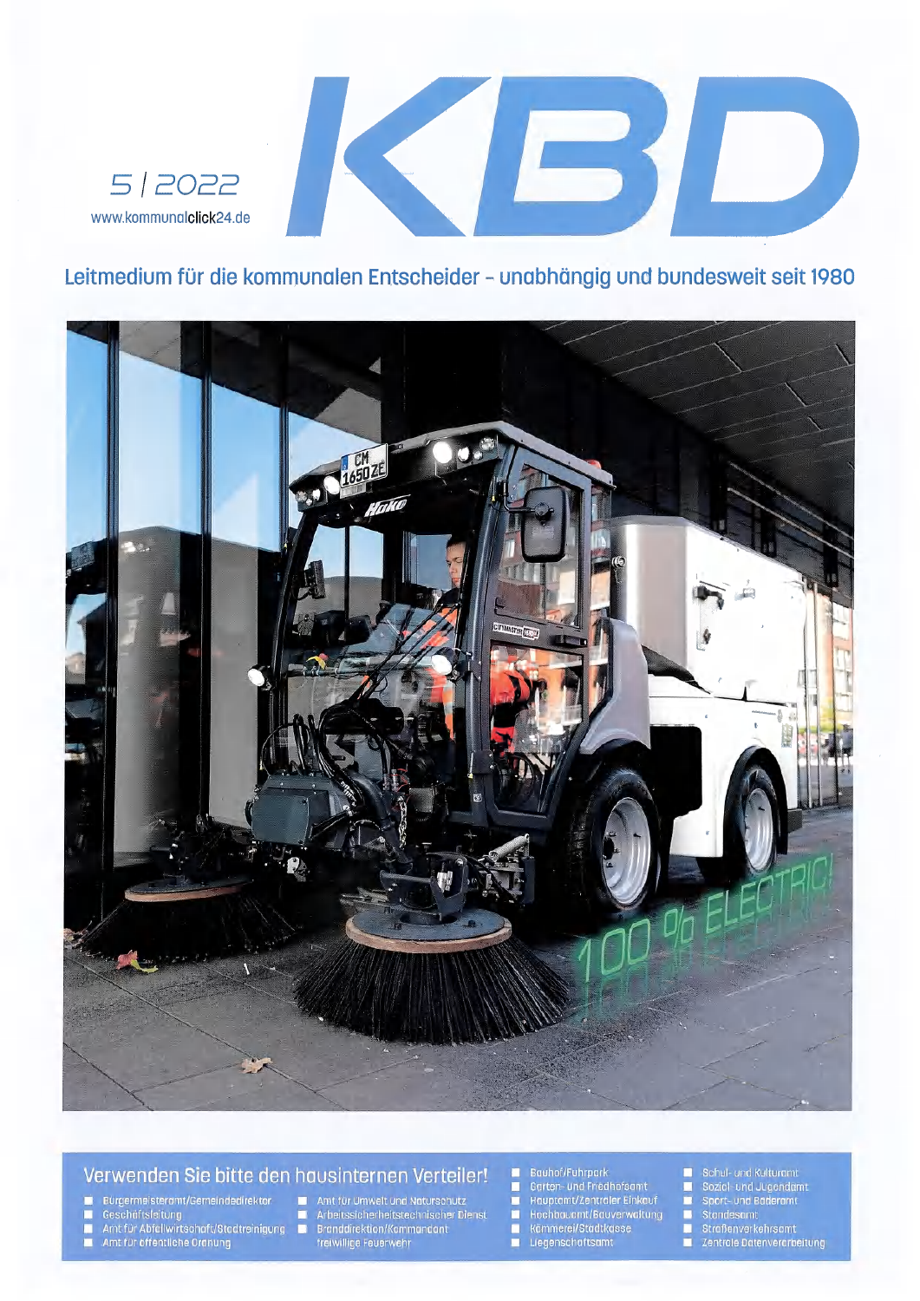

### Leitmedium für die kommunalen Entscheider - unabhängig und bundesweit seit 1980



### Verwenden Sie bitte den hausinternen Verteiler!

- Bürgermeisteramt/Gemeindedirektor ■
- г
- Seschäftsleitung<br>
Amt für Abfallwirtschaft/Stadtreinigung<br>
Amt für öffentliche Ordnung г
- Ξ

## Amt für Umwelt und Naturschutz Arbeitssicherheitstechnischer Dienst<br>Branddirektion/Kommandant<br>freiwillige Feuerwehr

- D
- 

#### Bauhof/Fuhrpark Ω

- Garten- und Friedhofsamt Hauptamt/Zentraler Einkauf  $\blacksquare$
- Hochbauamt/Bauverwaltung<br>■ Kämmerei/Stadtkasse<br>■ Liegenschaftsamt
	-
- Schul- und Kulturamt Е
- Sozial- und Jugendamt<br>Sport- und Bäderamt Е
- 
- 
- Standesamt<br>■ Straßenverkehrsamt<br>■ Zentrale Datenverarbeitung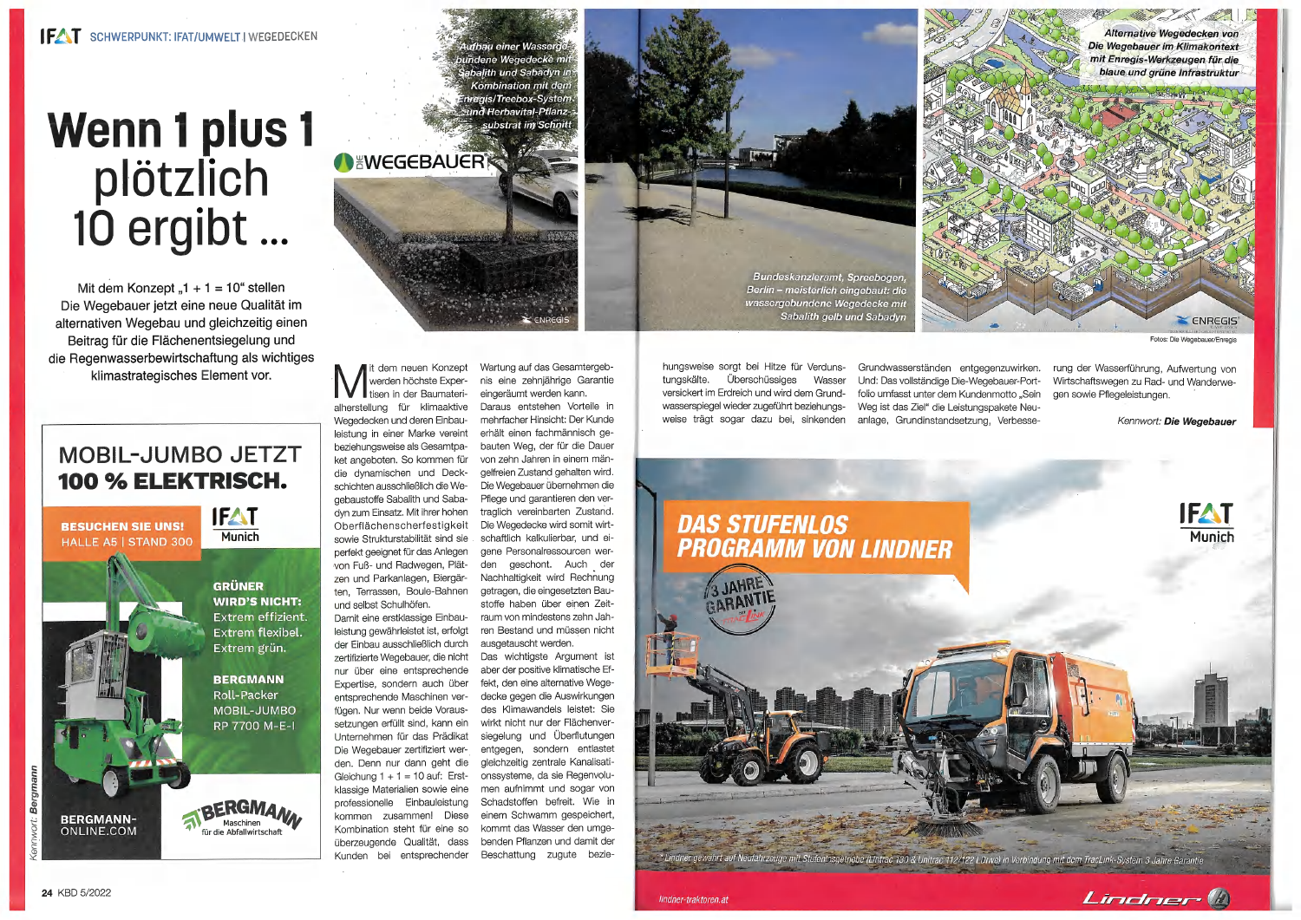# **Wenn 1 plus 1** plötzlich<br>10 ergibt..  $\begin{array}{c} \bullet & \bullet & \bullet \end{array}$

Mit dem Konzept "1 + 1 =  $10^{\circ}$  stellen Die Wegebauer jetzt eine neue Qualität im alternativen Wegebau und gleichzeitig einen Beitrag für die Flächenentsiegelung und die Regenwasserbewirtschaftung als wichtiges klimastrategisches Element vor.

# **MOBIL-JUMBO JETZT** 100 % ELEKTRISCH.

**BESUCHEN SIE UNS! HALLE A5 | STAND 300** 

**IFAT Munich** 

> **GRÜNER WIRD'S NICHT:** Extrem effizient. Extrem flexibel. Extrem grün.

**BERGMANN Roll-Packer** MOBIL-JUMBO RP 7700 M-E-I



**BERGMANA** Maschinen für die Abfallwirtschaft

dem neuen Konzept werden höchste Expertisen in der Baumaterialherstellung für klimaaktive Wegedecken und deren Einbauleistung in einer Marke vereint beziehungsweise als Gesamtpaket angeboten. So kommen für die dynamischen und Deckschichten ausschließlich die Wegebaustoffe Sabalith und Sabadyn zum Einsatz. Mit ihrer hohen Oberflächenscherfestigkeit sowie Strukturstabilität sind sie perfekt geeignet für das Anlegen von Fuß- und Radwegen, Plätzen und Parkanlagen, Biergärten, Terrassen, Boule-Bahnen und selbst Schulhöfen. Damit eine erstklassige Einbauleistung gewährleistet ist, erfolgt der Einbau ausschließlich durch zertifizierte Wegebauer, die nicht nur über eine entsprechende Expertise, sondern auch über entsprechende Maschinen verfügen. Nur wenn beide Voraussetzungen erfüllt sind, kann ein Unternehmen für das Prädikat Die Wegebauer zertifiziert werden. Denn nur dann geht die Gleichung  $1 + 1 = 10$  auf: Erst-

klassige Materialien sowie eine

professionelle Einbauleistung

kommen zusammen! Diese

Kombination steht für eine so

überzeugende Qualität, dass

Kunden bei entsprechender

**NEWEGEBAUER** 

Wartung auf das Gesamtergebnis eine zehniährige Garantie eingeräumt werden kann. Daraus entstehen Vorteile in mehrfacher Hinsicht: Der Kunde erhält einen fachmännisch gebauten Weg, der für die Dauer von zehn Jahren in einem mängelfreien Zustand gehalten wird. Die Wegebauer übernehmen die Pflege und garantieren den vertraglich vereinbarten Zustand. Die Wegedecke wird somit wirtschaftlich kalkulierbar, und eigene Personalressourcen werden geschont. Auch der Nachhaltigkeit wird Rechnung getragen, die eingesetzten Baustoffe haben über einen Zeitraum von mindestens zehn Jahren Bestand und müssen nicht ausgetauscht werden. Das wichtigste Argument ist aber der positive klimatische Effekt, den eine alternative Wegedecke gegen die Auswirkungen des Klimawandels leistet: Sie wirkt nicht nur der Flächenversiegelung und Überflutungen entgegen, sondern entlastet gleichzeitig zentrale Kanalisationssysteme, da sie Regenvolumen aufnimmt und sogar von Schadstoffen befreit. Wie in einem Schwamm gespeichert, kommt das Wasser den umgebenden Pflanzen und damit der

Beschattung zugute bezie-

ufbau einer Wasser undene Wegedecke mi

balith und Sabadyn ir

**Kombination mit dem** regis/Treebox-System **Ind Herbavital-Pflanz-**

substrat im Schnitt



hungsweise sorgt bei Hitze für Verdunstungskälte. Überschüssiges Wasser versickert im Erdreich und wird dem Grundwasserspiegel wieder zugeführt beziehungsweise trägt sogar dazu bei, sinkenden

Grundwasserständen entgegenzuwirken. Und: Das vollständige Die-Wegebauer-Portfolio umfasst unter dem Kundenmotto "Sein Weg ist das Ziel" die Leistungspakete Neuanlage, Grundinstandsetzung, Verbesse-

# **DAS STUFENLOS PROGRAMM VON LINDNER**





Fotos: Die Wegebauer/Enregis

rung der Wasserführung, Aufwertung von Wirtschaftswegen zu Rad- und Wanderwegen sowie Pflegeleistungen.

Kennwort: Die Wegebauer



it Stufenlosgetriebe (Lintrac 130 & Unitrac 112/122 LDrive) in Verbindung mit dem TracLink-System 3 Jahre Garantie

Lindner (A)